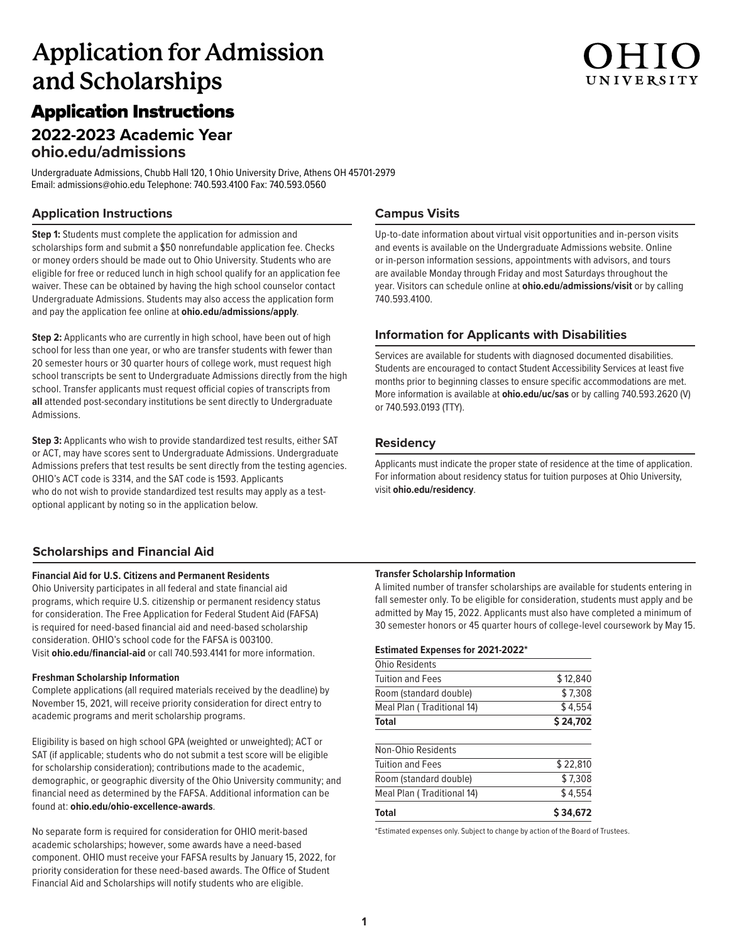# **Application for Admission and Scholarships**

# Application Instructions

## **2022-2023 Academic Year ohio.edu/admissions**

Undergraduate Admissions, Chubb Hall 120, 1 Ohio University Drive, Athens OH 45701-2979 Email: admissions@ohio.edu Telephone: 740.593.4100 Fax: 740.593.0560

## **Application Instructions**

**Step 1:** Students must complete the application for admission and scholarships form and submit a \$50 nonrefundable application fee. Checks or money orders should be made out to Ohio University. Students who are eligible for free or reduced lunch in high school qualify for an application fee waiver. These can be obtained by having the high school counselor contact Undergraduate Admissions. Students may also access the application form and pay the application fee online at **ohio.edu/admissions/apply**.

**Step 2:** Applicants who are currently in high school, have been out of high school for less than one year, or who are transfer students with fewer than 20 semester hours or 30 quarter hours of college work, must request high school transcripts be sent to Undergraduate Admissions directly from the high school. Transfer applicants must request official copies of transcripts from **all** attended post-secondary institutions be sent directly to Undergraduate Admissions.

**Step 3:** Applicants who wish to provide standardized test results, either SAT or ACT, may have scores sent to Undergraduate Admissions. Undergraduate Admissions prefers that test results be sent directly from the testing agencies. OHIO's ACT code is 3314, and the SAT code is 1593. Applicants who do not wish to provide standardized test results may apply as a testoptional applicant by noting so in the application below.

### **Scholarships and Financial Aid**

### **Financial Aid for U.S. Citizens and Permanent Residents**

Ohio University participates in all federal and state financial aid programs, which require U.S. citizenship or permanent residency status for consideration. The Free Application for Federal Student Aid (FAFSA) is required for need-based financial aid and need-based scholarship consideration. OHIO's school code for the FAFSA is 003100. Visit **ohio.edu/financial-aid** or call 740.593.4141 for more information.

### **Freshman Scholarship Information**

Complete applications (all required materials received by the deadline) by November 15, 2021, will receive priority consideration for direct entry to academic programs and merit scholarship programs.

Eligibility is based on high school GPA (weighted or unweighted); ACT or SAT (if applicable; students who do not submit a test score will be eligible for scholarship consideration); contributions made to the academic, demographic, or geographic diversity of the Ohio University community; and financial need as determined by the FAFSA. Additional information can be found at: **ohio.edu/ohio-excellence-awards**.

No separate form is required for consideration for OHIO merit-based academic scholarships; however, some awards have a need-based component. OHIO must receive your FAFSA results by January 15, 2022, for priority consideration for these need-based awards. The Office of Student Financial Aid and Scholarships will notify students who are eligible.

### **Campus Visits**

Up-to-date information about virtual visit opportunities and in-person visits and events is available on the Undergraduate Admissions website. Online or in-person information sessions, appointments with advisors, and tours are available Monday through Friday and most Saturdays throughout the year. Visitors can schedule online at **ohio.edu/admissions/visit** or by calling 740.593.4100.

### **Information for Applicants with Disabilities**

Services are available for students with diagnosed documented disabilities. Students are encouraged to contact Student Accessibility Services at least five months prior to beginning classes to ensure specific accommodations are met. More information is available at **ohio.edu/uc/sas** or by calling 740.593.2620 (V) or 740.593.0193 (TTY).

### **Residency**

Applicants must indicate the proper state of residence at the time of application. For information about residency status for tuition purposes at Ohio University, visit **ohio.edu/residency**.

### **Transfer Scholarship Information**

A limited number of transfer scholarships are available for students entering in fall semester only. To be eligible for consideration, students must apply and be admitted by May 15, 2022. Applicants must also have completed a minimum of 30 semester honors or 45 quarter hours of college-level coursework by May 15.

### **Estimated Expenses for 2021-2022\***

| Total                      | \$ 34.672 |
|----------------------------|-----------|
| Meal Plan (Traditional 14) | \$4.554   |
| Room (standard double)     | \$7.308   |
| <b>Tuition and Fees</b>    | \$22,810  |
| Non-Ohio Residents         |           |
| Total                      | \$24,702  |
| Meal Plan (Traditional 14) | \$4.554   |
| Room (standard double)     | \$7,308   |
| Tuition and Fees           | \$12,840  |
| <b>Ohio Residents</b>      |           |

\*Estimated expenses only. Subject to change by action of the Board of Trustees.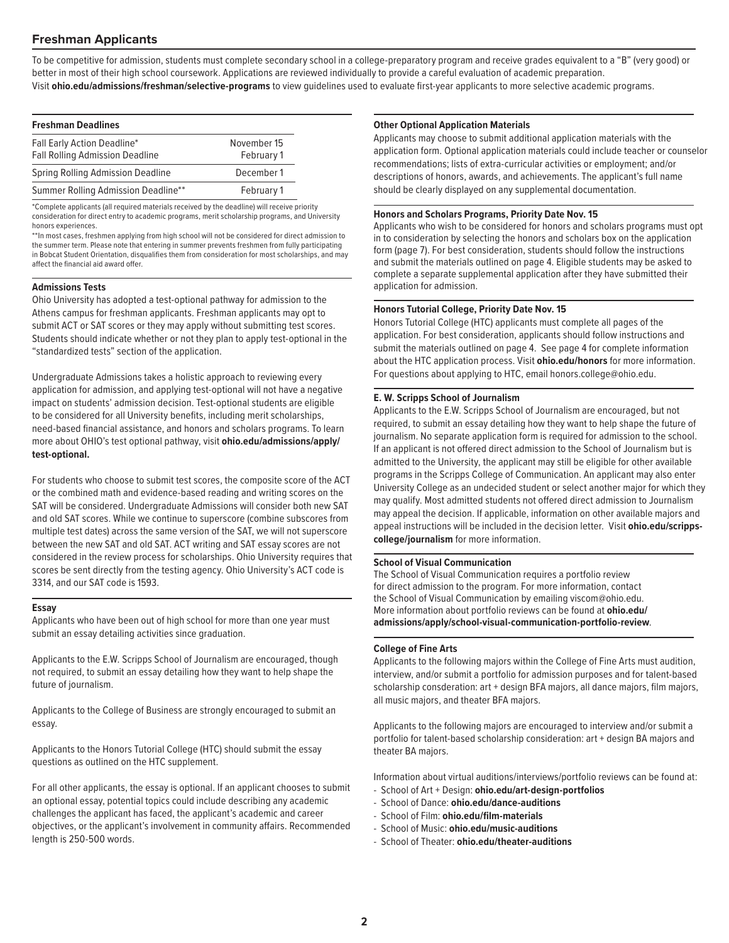### **Freshman Applicants**

To be competitive for admission, students must complete secondary school in a college-preparatory program and receive grades equivalent to a "B" (very good) or better in most of their high school coursework. Applications are reviewed individually to provide a careful evaluation of academic preparation. Visit **ohio.edu/admissions/freshman/selective-programs** to view guidelines used to evaluate first-year applicants to more selective academic programs.

| <b>Freshman Deadlines</b>                                             |                           |
|-----------------------------------------------------------------------|---------------------------|
| Fall Early Action Deadline*<br><b>Fall Rolling Admission Deadline</b> | November 15<br>February 1 |
| Spring Rolling Admission Deadline                                     | December 1                |
| Summer Rolling Admission Deadline**                                   | February 1                |

\*Complete applicants (all required materials received by the deadline) will receive priority consideration for direct entry to academic programs, merit scholarship programs, and University honors experiences.

\*\*In most cases, freshmen applying from high school will not be considered for direct admission to the summer term. Please note that entering in summer prevents freshmen from fully participating in Bobcat Student Orientation, disqualifies them from consideration for most scholarships, and may affect the financial aid award offer.

### **Admissions Tests**

Ohio University has adopted a test-optional pathway for admission to the Athens campus for freshman applicants. Freshman applicants may opt to submit ACT or SAT scores or they may apply without submitting test scores. Students should indicate whether or not they plan to apply test-optional in the "standardized tests" section of the application.

Undergraduate Admissions takes a holistic approach to reviewing every application for admission, and applying test-optional will not have a negative impact on students' admission decision. Test-optional students are eligible to be considered for all University benefits, including merit scholarships, need-based financial assistance, and honors and scholars programs. To learn more about OHIO's test optional pathway, visit **ohio.edu/admissions/apply/ test-optional.**

For students who choose to submit test scores, the composite score of the ACT or the combined math and evidence-based reading and writing scores on the SAT will be considered. Undergraduate Admissions will consider both new SAT and old SAT scores. While we continue to superscore (combine subscores from multiple test dates) across the same version of the SAT, we will not superscore between the new SAT and old SAT. ACT writing and SAT essay scores are not considered in the review process for scholarships. Ohio University requires that scores be sent directly from the testing agency. Ohio University's ACT code is 3314, and our SAT code is 1593.

### **Essay**

Applicants who have been out of high school for more than one year must submit an essay detailing activities since graduation.

Applicants to the E.W. Scripps School of Journalism are encouraged, though not required, to submit an essay detailing how they want to help shape the future of journalism.

Applicants to the College of Business are strongly encouraged to submit an essay.

Applicants to the Honors Tutorial College (HTC) should submit the essay questions as outlined on the HTC supplement.

For all other applicants, the essay is optional. If an applicant chooses to submit an optional essay, potential topics could include describing any academic challenges the applicant has faced, the applicant's academic and career objectives, or the applicant's involvement in community affairs. Recommended length is 250-500 words.

### **Other Optional Application Materials**

Applicants may choose to submit additional application materials with the application form. Optional application materials could include teacher or counselor recommendations; lists of extra-curricular activities or employment; and/or descriptions of honors, awards, and achievements. The applicant's full name should be clearly displayed on any supplemental documentation.

### **Honors and Scholars Programs, Priority Date Nov. 15**

Applicants who wish to be considered for honors and scholars programs must opt in to consideration by selecting the honors and scholars box on the application form (page 7). For best consideration, students should follow the instructions and submit the materials outlined on page 4. Eligible students may be asked to complete a separate supplemental application after they have submitted their application for admission.

### **Honors Tutorial College, Priority Date Nov. 15**

Honors Tutorial College (HTC) applicants must complete all pages of the application. For best consideration, applicants should follow instructions and submit the materials outlined on page 4. See page 4 for complete information about the HTC application process. Visit **ohio.edu/honors** for more information. For questions about applying to HTC, email honors.college@ohio.edu.

### **E. W. Scripps School of Journalism**

Applicants to the E.W. Scripps School of Journalism are encouraged, but not required, to submit an essay detailing how they want to help shape the future of journalism. No separate application form is required for admission to the school. If an applicant is not offered direct admission to the School of Journalism but is admitted to the University, the applicant may still be eligible for other available programs in the Scripps College of Communication. An applicant may also enter University College as an undecided student or select another major for which they may qualify. Most admitted students not offered direct admission to Journalism may appeal the decision. If applicable, information on other available majors and appeal instructions will be included in the decision letter. Visit **ohio.edu/scrippscollege/journalism** for more information.

### **School of Visual Communication**

The School of Visual Communication requires a portfolio review for direct admission to the program. For more information, contact the School of Visual Communication by emailing viscom@ohio.edu. More information about portfolio reviews can be found at **ohio.edu/ admissions/apply/school-visual-communication-portfolio-review**.

### **College of Fine Arts**

Applicants to the following majors within the College of Fine Arts must audition, interview, and/or submit a portfolio for admission purposes and for talent-based scholarship consderation: art + design BFA majors, all dance majors, film majors, all music majors, and theater BFA majors.

Applicants to the following majors are encouraged to interview and/or submit a portfolio for talent-based scholarship consideration: art + design BA majors and theater BA majors.

Information about virtual auditions/interviews/portfolio reviews can be found at:

- School of Art + Design: **ohio.edu/art-design-portfolios**
- School of Dance: **ohio.edu/dance-auditions**
- School of Film: **ohio.edu/film-materials**
- School of Music: **ohio.edu/music-auditions**
- School of Theater: **ohio.edu/theater-auditions**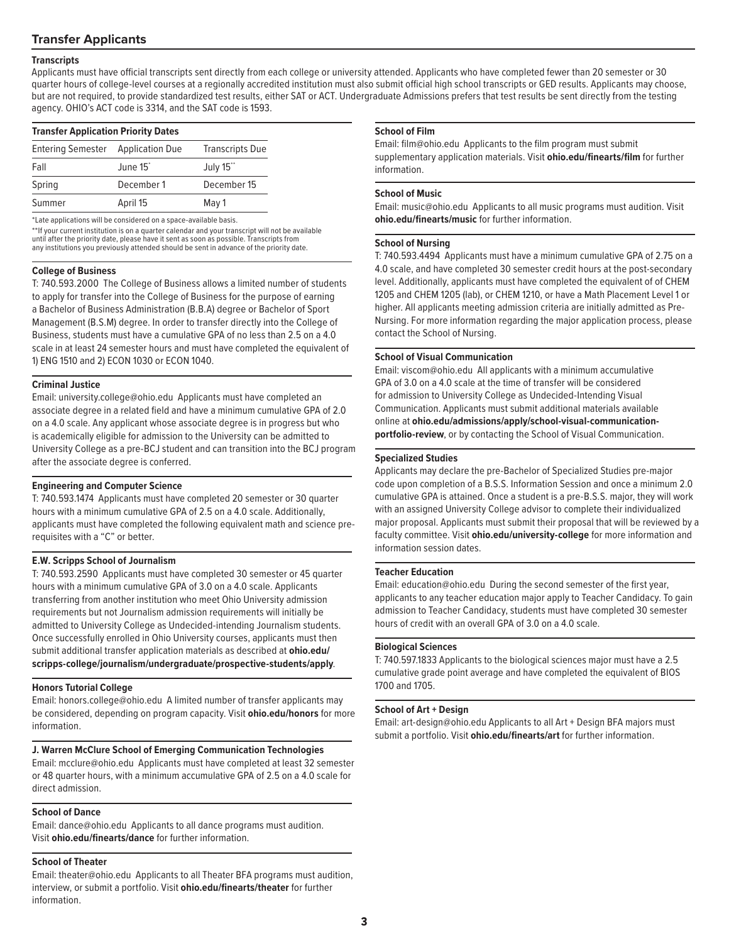### **Transfer Applicants**

### **Transcripts**

Applicants must have official transcripts sent directly from each college or university attended. Applicants who have completed fewer than 20 semester or 30 quarter hours of college-level courses at a regionally accredited institution must also submit official high school transcripts or GED results. Applicants may choose, but are not required, to provide standardized test results, either SAT or ACT. Undergraduate Admissions prefers that test results be sent directly from the testing agency. OHIO's ACT code is 3314, and the SAT code is 1593.

| <b>Transfer Application Priority Dates</b> |                      |                        |  |
|--------------------------------------------|----------------------|------------------------|--|
| Entering Semester Application Due          |                      | <b>Transcripts Due</b> |  |
| Fall                                       | June 15 <sup>*</sup> | July 15**              |  |
| Spring                                     | December 1           | December 15            |  |
| Summer                                     | April 15             | May 1                  |  |

\*Late applications will be considered on a space-available basis.

\*\*If your current institution is on a quarter calendar and your transcript will not be available until after the priority date, please have it sent as soon as possible. Transcripts from any institutions you previously attended should be sent in advance of the priority date.

### **College of Business**

T: 740.593.2000 The College of Business allows a limited number of students to apply for transfer into the College of Business for the purpose of earning a Bachelor of Business Administration (B.B.A) degree or Bachelor of Sport Management (B.S.M) degree. In order to transfer directly into the College of Business, students must have a cumulative GPA of no less than 2.5 on a 4.0 scale in at least 24 semester hours and must have completed the equivalent of 1) ENG 1510 and 2) ECON 1030 or ECON 1040.

### **Criminal Justice**

Email: university.college@ohio.edu Applicants must have completed an associate degree in a related field and have a minimum cumulative GPA of 2.0 on a 4.0 scale. Any applicant whose associate degree is in progress but who is academically eligible for admission to the University can be admitted to University College as a pre-BCJ student and can transition into the BCJ program after the associate degree is conferred.

### **Engineering and Computer Science**

T: 740.593.1474 Applicants must have completed 20 semester or 30 quarter hours with a minimum cumulative GPA of 2.5 on a 4.0 scale. Additionally, applicants must have completed the following equivalent math and science prerequisites with a "C" or better.

### **E.W. Scripps School of Journalism**

T: 740.593.2590 Applicants must have completed 30 semester or 45 quarter hours with a minimum cumulative GPA of 3.0 on a 4.0 scale. Applicants transferring from another institution who meet Ohio University admission requirements but not Journalism admission requirements will initially be admitted to University College as Undecided-intending Journalism students. Once successfully enrolled in Ohio University courses, applicants must then submit additional transfer application materials as described at **ohio.edu/ scripps-college/journalism/undergraduate/prospective-students/apply**.

### **Honors Tutorial College**

Email: honors.college@ohio.edu A limited number of transfer applicants may be considered, depending on program capacity. Visit **ohio.edu/honors** for more information.

### **J. Warren McClure School of Emerging Communication Technologies**

Email: mcclure@ohio.edu Applicants must have completed at least 32 semester or 48 quarter hours, with a minimum accumulative GPA of 2.5 on a 4.0 scale for direct admission.

### **School of Dance**

Email: dance@ohio.edu Applicants to all dance programs must audition. Visit **ohio.edu/finearts/dance** for further information.

### **School of Theater**

Email: theater@ohio.edu Applicants to all Theater BFA programs must audition, interview, or submit a portfolio. Visit **ohio.edu/finearts/theater** for further information.

### **School of Film**

Email: film@ohio.edu Applicants to the film program must submit supplementary application materials. Visit **ohio.edu/finearts/film** for further information.

### **School of Music**

Email: music@ohio.edu Applicants to all music programs must audition. Visit **ohio.edu/finearts/music** for further information.

### **School of Nursing**

T: 740.593.4494 Applicants must have a minimum cumulative GPA of 2.75 on a 4.0 scale, and have completed 30 semester credit hours at the post-secondary level. Additionally, applicants must have completed the equivalent of of CHEM 1205 and CHEM 1205 (lab), or CHEM 1210, or have a Math Placement Level 1 or higher. All applicants meeting admission criteria are initially admitted as Pre-Nursing. For more information regarding the major application process, please contact the School of Nursing.

### **School of Visual Communication**

Email: viscom@ohio.edu All applicants with a minimum accumulative GPA of 3.0 on a 4.0 scale at the time of transfer will be considered for admission to University College as Undecided-Intending Visual Communication. Applicants must submit additional materials available online at **ohio.edu/admissions/apply/school-visual-communicationportfolio-review**, or by contacting the School of Visual Communication.

### **Specialized Studies**

Applicants may declare the pre-Bachelor of Specialized Studies pre-major code upon completion of a B.S.S. Information Session and once a minimum 2.0 cumulative GPA is attained. Once a student is a pre-B.S.S. major, they will work with an assigned University College advisor to complete their individualized major proposal. Applicants must submit their proposal that will be reviewed by a faculty committee. Visit **ohio.edu/university-college** for more information and information session dates.

### **Teacher Education**

Email: education@ohio.edu During the second semester of the first year, applicants to any teacher education major apply to Teacher Candidacy. To gain admission to Teacher Candidacy, students must have completed 30 semester hours of credit with an overall GPA of 3.0 on a 4.0 scale.

### **Biological Sciences**

T: 740.597.1833 Applicants to the biological sciences major must have a 2.5 cumulative grade point average and have completed the equivalent of BIOS 1700 and 1705.

### **School of Art + Design**

Email: art-design@ohio.edu Applicants to all Art + Design BFA majors must submit a portfolio. Visit **ohio.edu/finearts/art** for further information.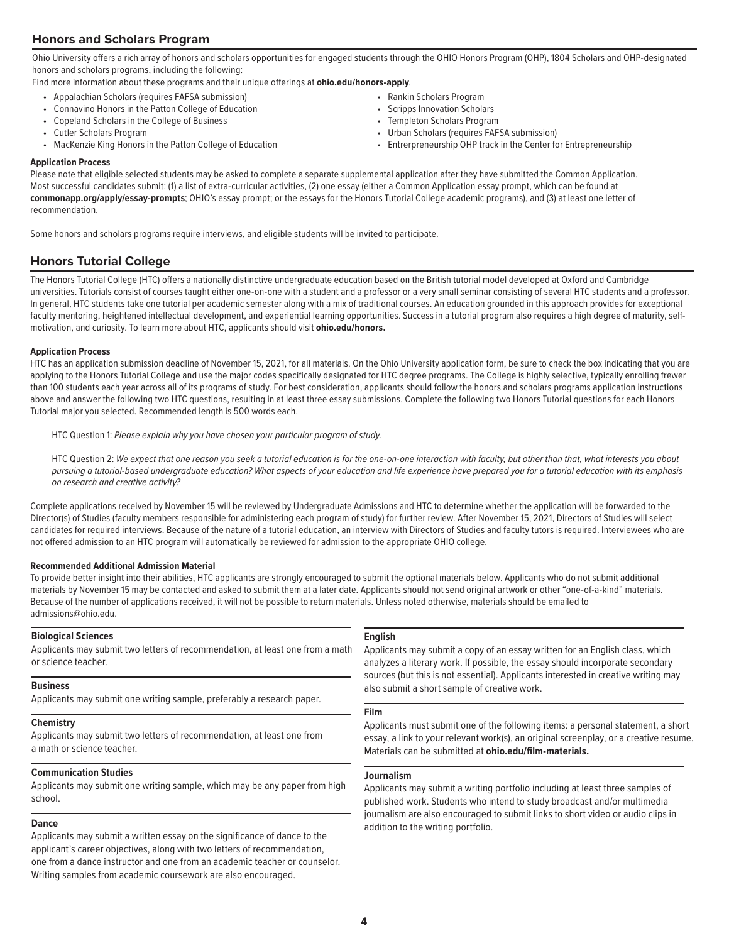### **Honors and Scholars Program**

Ohio University offers a rich array of honors and scholars opportunities for engaged students through the OHIO Honors Program (OHP), 1804 Scholars and OHP-designated honors and scholars programs, including the following:

Find more information about these programs and their unique offerings at **ohio.edu/honors-apply**.

- Appalachian Scholars (requires FAFSA submission)
- Connavino Honors in the Patton College of Education
- Copeland Scholars in the College of Business
- Cutler Scholars Program
- MacKenzie King Honors in the Patton College of Education
- Rankin Scholars Program
- Scripps Innovation Scholars
- Templeton Scholars Program
- Urban Scholars (requires FAFSA submission)
- Entrerpreneurship OHP track in the Center for Entrepreneurship

### **Application Process**

Please note that eligible selected students may be asked to complete a separate supplemental application after they have submitted the Common Application. Most successful candidates submit: (1) a list of extra-curricular activities, (2) one essay (either a Common Application essay prompt, which can be found at **commonapp.org/apply/essay-prompts**; OHIO's essay prompt; or the essays for the Honors Tutorial College academic programs), and (3) at least one letter of recommendation.

Some honors and scholars programs require interviews, and eligible students will be invited to participate.

### **Honors Tutorial College**

The Honors Tutorial College (HTC) offers a nationally distinctive undergraduate education based on the British tutorial model developed at Oxford and Cambridge universities. Tutorials consist of courses taught either one-on-one with a student and a professor or a very small seminar consisting of several HTC students and a professor. In general, HTC students take one tutorial per academic semester along with a mix of traditional courses. An education grounded in this approach provides for exceptional faculty mentoring, heightened intellectual development, and experiential learning opportunities. Success in a tutorial program also requires a high degree of maturity, selfmotivation, and curiosity. To learn more about HTC, applicants should visit **ohio.edu/honors.**

### **Application Process**

HTC has an application submission deadline of November 15, 2021, for all materials. On the Ohio University application form, be sure to check the box indicating that you are applying to the Honors Tutorial College and use the major codes specifically designated for HTC degree programs. The College is highly selective, typically enrolling frewer than 100 students each year across all of its programs of study. For best consideration, applicants should follow the honors and scholars programs application instructions above and answer the following two HTC questions, resulting in at least three essay submissions. Complete the following two Honors Tutorial questions for each Honors Tutorial major you selected. Recommended length is 500 words each.

HTC Question 1: *Please explain why you have chosen your particular program of study.*

 HTC Question 2: *We expect that one reason you seek a tutorial education is for the one-on-one interaction with faculty, but other than that, what interests you about pursuing a tutorial-based undergraduate education? What aspects of your education and life experience have prepared you for a tutorial education with its emphasis on research and creative activity?*

Complete applications received by November 15 will be reviewed by Undergraduate Admissions and HTC to determine whether the application will be forwarded to the Director(s) of Studies (faculty members responsible for administering each program of study) for further review. After November 15, 2021, Directors of Studies will select candidates for required interviews. Because of the nature of a tutorial education, an interview with Directors of Studies and faculty tutors is required. Interviewees who are not offered admission to an HTC program will automatically be reviewed for admission to the appropriate OHIO college.

### **Recommended Additional Admission Material**

To provide better insight into their abilities, HTC applicants are strongly encouraged to submit the optional materials below. Applicants who do not submit additional materials by November 15 may be contacted and asked to submit them at a later date. Applicants should not send original artwork or other "one-of-a-kind" materials. Because of the number of applications received, it will not be possible to return materials. Unless noted otherwise, materials should be emailed to admissions@ohio.edu.

### **Biological Sciences**

Applicants may submit two letters of recommendation, at least one from a math or science teacher.

### **Business**

Applicants may submit one writing sample, preferably a research paper.

### **Chemistry**

Applicants may submit two letters of recommendation, at least one from a math or science teacher.

### **Communication Studies**

Applicants may submit one writing sample, which may be any paper from high school.

### **Dance**

Applicants may submit a written essay on the significance of dance to the applicant's career objectives, along with two letters of recommendation, one from a dance instructor and one from an academic teacher or counselor. Writing samples from academic coursework are also encouraged.

### **English**

Applicants may submit a copy of an essay written for an English class, which analyzes a literary work. If possible, the essay should incorporate secondary sources (but this is not essential). Applicants interested in creative writing may also submit a short sample of creative work.

### **Film**

Applicants must submit one of the following items: a personal statement, a short essay, a link to your relevant work(s), an original screenplay, or a creative resume. Materials can be submitted at **ohio.edu/film-materials.**

### **Journalism**

Applicants may submit a writing portfolio including at least three samples of published work. Students who intend to study broadcast and/or multimedia journalism are also encouraged to submit links to short video or audio clips in addition to the writing portfolio.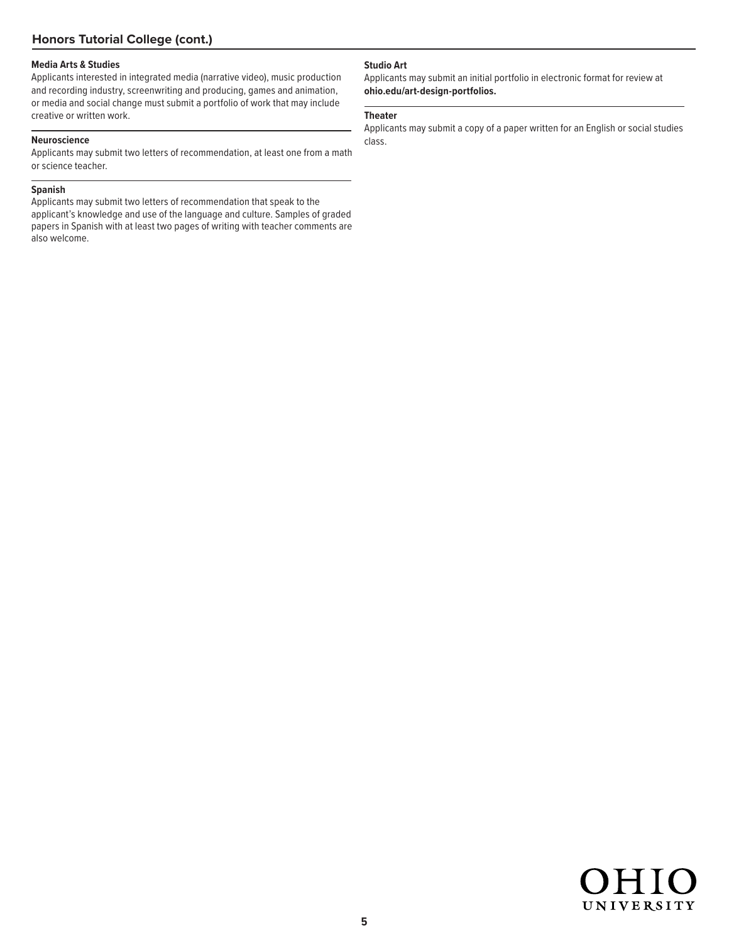### **Media Arts & Studies**

Applicants interested in integrated media (narrative video), music production and recording industry, screenwriting and producing, games and animation, or media and social change must submit a portfolio of work that may include creative or written work.

### **Neuroscience**

Applicants may submit two letters of recommendation, at least one from a math or science teacher.

### **Spanish**

Applicants may submit two letters of recommendation that speak to the applicant's knowledge and use of the language and culture. Samples of graded papers in Spanish with at least two pages of writing with teacher comments are also welcome.

### **Studio Art**

Applicants may submit an initial portfolio in electronic format for review at **ohio.edu/art-design-portfolios.**

### **Theater**

Applicants may submit a copy of a paper written for an English or social studies class.

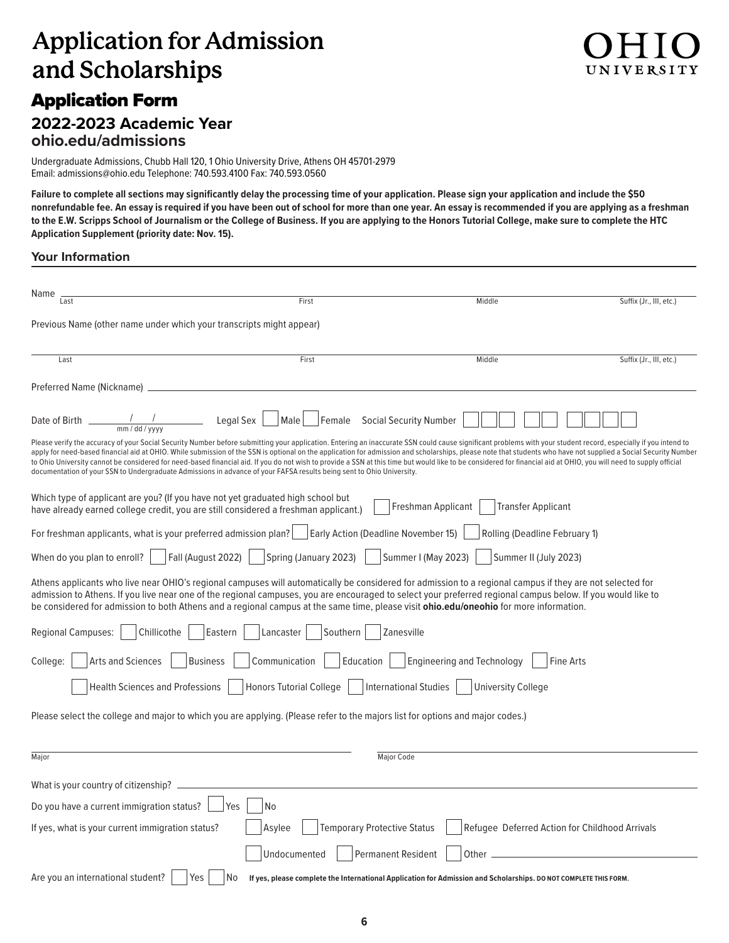# **Application for Admission and Scholarships**

# Application Form

# **2022-2023 Academic Year ohio.edu/admissions**

Undergraduate Admissions, Chubb Hall 120, 1 Ohio University Drive, Athens OH 45701-2979 Email: admissions@ohio.edu Telephone: 740.593.4100 Fax: 740.593.0560

**Failure to complete all sections may significantly delay the processing time of your application. Please sign your application and include the \$50 nonrefundable fee. An essay is required if you have been out of school for more than one year. An essay is recommended if you are applying as a freshman to the E.W. Scripps School of Journalism or the College of Business. If you are applying to the Honors Tutorial College, make sure to complete the HTC Application Supplement (priority date: Nov. 15).**

### **Your Information**

| Name                                                                                                                                                                   |                                              |                                                                                                                                                                                                                                                                                                                                                                                                                                                                                                                                                                                                                                                          |                         |  |
|------------------------------------------------------------------------------------------------------------------------------------------------------------------------|----------------------------------------------|----------------------------------------------------------------------------------------------------------------------------------------------------------------------------------------------------------------------------------------------------------------------------------------------------------------------------------------------------------------------------------------------------------------------------------------------------------------------------------------------------------------------------------------------------------------------------------------------------------------------------------------------------------|-------------------------|--|
| Last                                                                                                                                                                   | First                                        | Middle                                                                                                                                                                                                                                                                                                                                                                                                                                                                                                                                                                                                                                                   | Suffix (Jr., III, etc.) |  |
| Previous Name (other name under which your transcripts might appear)                                                                                                   |                                              |                                                                                                                                                                                                                                                                                                                                                                                                                                                                                                                                                                                                                                                          |                         |  |
| Last                                                                                                                                                                   | First                                        | Middle                                                                                                                                                                                                                                                                                                                                                                                                                                                                                                                                                                                                                                                   | Suffix (Jr., III, etc.) |  |
| Preferred Name (Nickname) _                                                                                                                                            |                                              |                                                                                                                                                                                                                                                                                                                                                                                                                                                                                                                                                                                                                                                          |                         |  |
| Date of Birth $\frac{1}{\text{mm}/\text{dd}/\text{yv}y}$ Legal Sex $\Box$ Male                                                                                         |                                              | Female Social Security Number                                                                                                                                                                                                                                                                                                                                                                                                                                                                                                                                                                                                                            |                         |  |
| documentation of your SSN to Undergraduate Admissions in advance of your FAFSA results being sent to Ohio University.                                                  |                                              | Please verify the accuracy of your Social Security Number before submitting your application. Entering an inaccurate SSN could cause significant problems with your student record, especially if you intend to<br>apply for need-based financial aid at OHIO. While submission of the SSN is optional on the application for admission and scholarships, please note that students who have not supplied a Social Security Number<br>to Ohio University cannot be considered for need-based financial aid. If you do not wish to provide a SSN at this time but would like to be considered for financial aid at OHIO, you will need to supply official |                         |  |
| Which type of applicant are you? (If you have not yet graduated high school but<br>have already earned college credit, you are still considered a freshman applicant.) |                                              | Freshman Applicant<br><b>Transfer Applicant</b>                                                                                                                                                                                                                                                                                                                                                                                                                                                                                                                                                                                                          |                         |  |
| For freshman applicants, what is your preferred admission plan?   Early Action (Deadline November 15)                                                                  |                                              | Rolling (Deadline February 1)                                                                                                                                                                                                                                                                                                                                                                                                                                                                                                                                                                                                                            |                         |  |
| Fall (August 2022)<br>When do you plan to enroll?                                                                                                                      | Spring (January 2023)                        | Summer I (May 2023)<br>Summer II (July 2023)                                                                                                                                                                                                                                                                                                                                                                                                                                                                                                                                                                                                             |                         |  |
|                                                                                                                                                                        |                                              | Athens applicants who live near OHIO's regional campuses will automatically be considered for admission to a regional campus if they are not selected for<br>admission to Athens. If you live near one of the regional campuses, you are encouraged to select your preferred regional campus below. If you would like to<br>be considered for admission to both Athens and a regional campus at the same time, please visit ohio.edu/oneohio for more information.                                                                                                                                                                                       |                         |  |
| Chillicothe<br><b>Regional Campuses:</b>                                                                                                                               | Eastern<br>Lancaster   Southern              | Zanesville                                                                                                                                                                                                                                                                                                                                                                                                                                                                                                                                                                                                                                               |                         |  |
| Arts and Sciences<br><b>Business</b><br>College:                                                                                                                       | Communication<br>Education                   | Engineering and Technology<br><b>Fine Arts</b>                                                                                                                                                                                                                                                                                                                                                                                                                                                                                                                                                                                                           |                         |  |
| Honors Tutorial College<br>International Studies<br><b>Health Sciences and Professions</b><br><b>University College</b>                                                |                                              |                                                                                                                                                                                                                                                                                                                                                                                                                                                                                                                                                                                                                                                          |                         |  |
| Please select the college and major to which you are applying. (Please refer to the majors list for options and major codes.)                                          |                                              |                                                                                                                                                                                                                                                                                                                                                                                                                                                                                                                                                                                                                                                          |                         |  |
| Major                                                                                                                                                                  |                                              | <b>Major Code</b>                                                                                                                                                                                                                                                                                                                                                                                                                                                                                                                                                                                                                                        |                         |  |
| What is your country of citizenship? __                                                                                                                                |                                              |                                                                                                                                                                                                                                                                                                                                                                                                                                                                                                                                                                                                                                                          |                         |  |
| Do you have a current immigration status?                                                                                                                              | <b>No</b><br>Yes                             |                                                                                                                                                                                                                                                                                                                                                                                                                                                                                                                                                                                                                                                          |                         |  |
| If yes, what is your current immigration status?                                                                                                                       | <b>Temporary Protective Status</b><br>Asvlee | Refugee Deferred Action for Childhood Arrivals                                                                                                                                                                                                                                                                                                                                                                                                                                                                                                                                                                                                           |                         |  |
|                                                                                                                                                                        | Undocumented                                 | <b>Permanent Resident</b><br>Other                                                                                                                                                                                                                                                                                                                                                                                                                                                                                                                                                                                                                       |                         |  |
| Are you an international student?<br>Yes                                                                                                                               | No                                           | If yes, please complete the International Application for Admission and Scholarships. DO NOT COMPLETE THIS FORM.                                                                                                                                                                                                                                                                                                                                                                                                                                                                                                                                         |                         |  |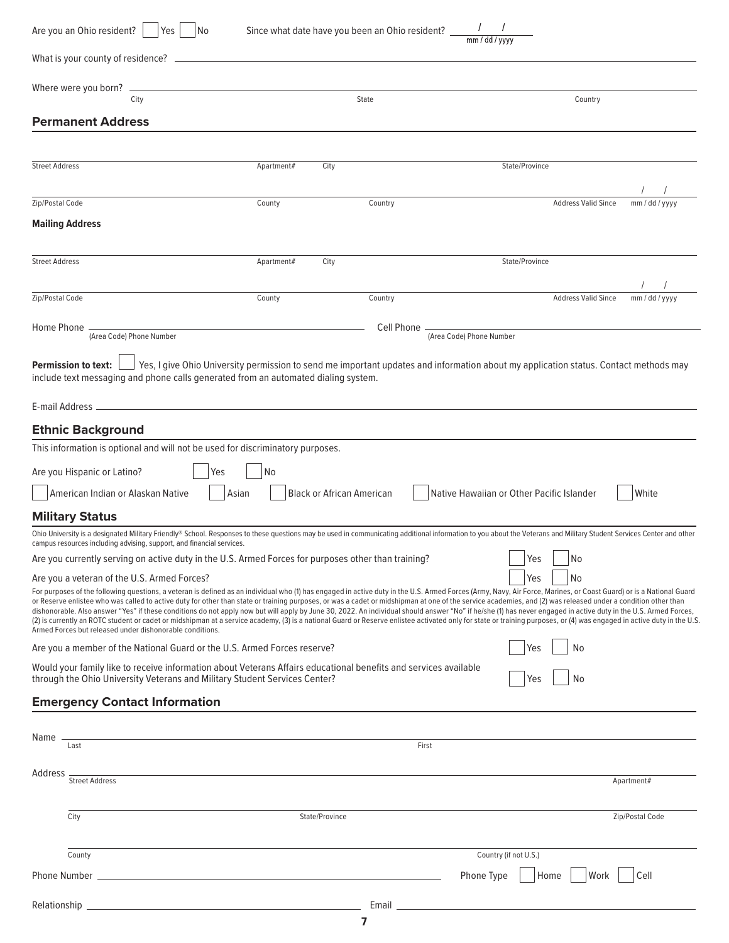| Are you an Ohio resident?<br>Yes<br>  No                                                                                                                                                                                                                                                                                                                                                                                                                                                                                                                                                                                                                                                                              |            |                                  | Since what date have you been an Ohio resident? $\frac{1}{\text{mm/dd/yyy}}$ |                                           |                       |                            |                 |
|-----------------------------------------------------------------------------------------------------------------------------------------------------------------------------------------------------------------------------------------------------------------------------------------------------------------------------------------------------------------------------------------------------------------------------------------------------------------------------------------------------------------------------------------------------------------------------------------------------------------------------------------------------------------------------------------------------------------------|------------|----------------------------------|------------------------------------------------------------------------------|-------------------------------------------|-----------------------|----------------------------|-----------------|
| What is your county of residence? _                                                                                                                                                                                                                                                                                                                                                                                                                                                                                                                                                                                                                                                                                   |            |                                  |                                                                              |                                           |                       |                            |                 |
| Where were you born?                                                                                                                                                                                                                                                                                                                                                                                                                                                                                                                                                                                                                                                                                                  |            |                                  |                                                                              |                                           |                       |                            |                 |
| City                                                                                                                                                                                                                                                                                                                                                                                                                                                                                                                                                                                                                                                                                                                  |            |                                  | State                                                                        |                                           |                       | Country                    |                 |
| <b>Permanent Address</b>                                                                                                                                                                                                                                                                                                                                                                                                                                                                                                                                                                                                                                                                                              |            |                                  |                                                                              |                                           |                       |                            |                 |
|                                                                                                                                                                                                                                                                                                                                                                                                                                                                                                                                                                                                                                                                                                                       |            |                                  |                                                                              |                                           |                       |                            |                 |
| <b>Street Address</b>                                                                                                                                                                                                                                                                                                                                                                                                                                                                                                                                                                                                                                                                                                 | Apartment# | City                             |                                                                              |                                           | State/Province        |                            |                 |
| Zip/Postal Code                                                                                                                                                                                                                                                                                                                                                                                                                                                                                                                                                                                                                                                                                                       | County     |                                  | Country                                                                      |                                           |                       | <b>Address Valid Since</b> | mm / dd / yyyy  |
| <b>Mailing Address</b>                                                                                                                                                                                                                                                                                                                                                                                                                                                                                                                                                                                                                                                                                                |            |                                  |                                                                              |                                           |                       |                            |                 |
|                                                                                                                                                                                                                                                                                                                                                                                                                                                                                                                                                                                                                                                                                                                       |            |                                  |                                                                              |                                           |                       |                            |                 |
| <b>Street Address</b>                                                                                                                                                                                                                                                                                                                                                                                                                                                                                                                                                                                                                                                                                                 | Apartment# | City                             |                                                                              |                                           | State/Province        |                            |                 |
|                                                                                                                                                                                                                                                                                                                                                                                                                                                                                                                                                                                                                                                                                                                       |            |                                  |                                                                              |                                           |                       |                            |                 |
| Zip/Postal Code                                                                                                                                                                                                                                                                                                                                                                                                                                                                                                                                                                                                                                                                                                       | County     |                                  | Country                                                                      |                                           |                       | <b>Address Valid Since</b> | mm / dd / yyyy  |
| Home Phone                                                                                                                                                                                                                                                                                                                                                                                                                                                                                                                                                                                                                                                                                                            |            |                                  | Cell Phone                                                                   |                                           |                       |                            |                 |
| (Area Code) Phone Number                                                                                                                                                                                                                                                                                                                                                                                                                                                                                                                                                                                                                                                                                              |            |                                  |                                                                              | (Area Code) Phone Number                  |                       |                            |                 |
| Yes, I give Ohio University permission to send me important updates and information about my application status. Contact methods may<br><b>Permission to text:</b><br>include text messaging and phone calls generated from an automated dialing system.                                                                                                                                                                                                                                                                                                                                                                                                                                                              |            |                                  |                                                                              |                                           |                       |                            |                 |
|                                                                                                                                                                                                                                                                                                                                                                                                                                                                                                                                                                                                                                                                                                                       |            |                                  |                                                                              |                                           |                       |                            |                 |
| <b>Ethnic Background</b>                                                                                                                                                                                                                                                                                                                                                                                                                                                                                                                                                                                                                                                                                              |            |                                  |                                                                              |                                           |                       |                            |                 |
| This information is optional and will not be used for discriminatory purposes.                                                                                                                                                                                                                                                                                                                                                                                                                                                                                                                                                                                                                                        |            |                                  |                                                                              |                                           |                       |                            |                 |
| Are you Hispanic or Latino?<br>Yes                                                                                                                                                                                                                                                                                                                                                                                                                                                                                                                                                                                                                                                                                    | No.        |                                  |                                                                              |                                           |                       |                            |                 |
| American Indian or Alaskan Native                                                                                                                                                                                                                                                                                                                                                                                                                                                                                                                                                                                                                                                                                     | Asian      | <b>Black or African American</b> |                                                                              | Native Hawaiian or Other Pacific Islander |                       |                            | White           |
| <b>Military Status</b>                                                                                                                                                                                                                                                                                                                                                                                                                                                                                                                                                                                                                                                                                                |            |                                  |                                                                              |                                           |                       |                            |                 |
| Ohio University is a designated Military Friendly® School. Responses to these questions may be used in communicating additional information to you about the Veterans and Military Student Services Center and other                                                                                                                                                                                                                                                                                                                                                                                                                                                                                                  |            |                                  |                                                                              |                                           |                       |                            |                 |
| campus resources including advising, support, and financial services.<br>Are you currently serving on active duty in the U.S. Armed Forces for purposes other than training?                                                                                                                                                                                                                                                                                                                                                                                                                                                                                                                                          |            |                                  |                                                                              |                                           | Yes                   | No                         |                 |
| Are you a veteran of the U.S. Armed Forces?                                                                                                                                                                                                                                                                                                                                                                                                                                                                                                                                                                                                                                                                           |            |                                  |                                                                              |                                           | Yes                   | No                         |                 |
| For purposes of the following questions, a veteran is defined as an individual who (1) has engaged in active duty in the U.S. Armed Forces (Army, Navy, Air Force, Marines, or Coast Guard) or is a National Guard                                                                                                                                                                                                                                                                                                                                                                                                                                                                                                    |            |                                  |                                                                              |                                           |                       |                            |                 |
| or Reserve enlistee who was called to active duty for other than state or training purposes, or was a cadet or midshipman at one of the service academies, and (2) was released under a condition other than<br>dishonorable. Also answer "Yes" if these conditions do not apply now but will apply by June 30, 2022. An individual should answer "No" if he/she (1) has never engaged in active duty in the U.S. Armed Forces,<br>(2) is currently an ROTC student or cadet or midshipman at a service academy, (3) is a national Guard or Reserve enlistee activated only for state or training purposes, or (4) was engaged in active duty in the U.S.<br>Armed Forces but released under dishonorable conditions. |            |                                  |                                                                              |                                           |                       |                            |                 |
| Are you a member of the National Guard or the U.S. Armed Forces reserve?                                                                                                                                                                                                                                                                                                                                                                                                                                                                                                                                                                                                                                              |            |                                  |                                                                              |                                           | Yes                   | No                         |                 |
| Would your family like to receive information about Veterans Affairs educational benefits and services available<br>through the Ohio University Veterans and Military Student Services Center?                                                                                                                                                                                                                                                                                                                                                                                                                                                                                                                        |            |                                  |                                                                              |                                           | Yes                   | No                         |                 |
| <b>Emergency Contact Information</b>                                                                                                                                                                                                                                                                                                                                                                                                                                                                                                                                                                                                                                                                                  |            |                                  |                                                                              |                                           |                       |                            |                 |
|                                                                                                                                                                                                                                                                                                                                                                                                                                                                                                                                                                                                                                                                                                                       |            |                                  |                                                                              |                                           |                       |                            |                 |
| Name<br>Last                                                                                                                                                                                                                                                                                                                                                                                                                                                                                                                                                                                                                                                                                                          |            |                                  | First                                                                        |                                           |                       |                            |                 |
| Address                                                                                                                                                                                                                                                                                                                                                                                                                                                                                                                                                                                                                                                                                                               |            |                                  |                                                                              |                                           |                       |                            |                 |
| <b>Street Address</b>                                                                                                                                                                                                                                                                                                                                                                                                                                                                                                                                                                                                                                                                                                 |            |                                  |                                                                              |                                           |                       |                            | Apartment#      |
|                                                                                                                                                                                                                                                                                                                                                                                                                                                                                                                                                                                                                                                                                                                       |            |                                  |                                                                              |                                           |                       |                            |                 |
| City                                                                                                                                                                                                                                                                                                                                                                                                                                                                                                                                                                                                                                                                                                                  |            | State/Province                   |                                                                              |                                           |                       |                            | Zip/Postal Code |
| County                                                                                                                                                                                                                                                                                                                                                                                                                                                                                                                                                                                                                                                                                                                |            |                                  |                                                                              |                                           | Country (if not U.S.) |                            |                 |
| <b>Phone Number</b>                                                                                                                                                                                                                                                                                                                                                                                                                                                                                                                                                                                                                                                                                                   |            |                                  |                                                                              | Phone Type                                | Home                  | Work                       | Cell            |
|                                                                                                                                                                                                                                                                                                                                                                                                                                                                                                                                                                                                                                                                                                                       |            |                                  |                                                                              |                                           |                       |                            |                 |
| Relationship                                                                                                                                                                                                                                                                                                                                                                                                                                                                                                                                                                                                                                                                                                          |            |                                  | Email                                                                        |                                           |                       |                            |                 |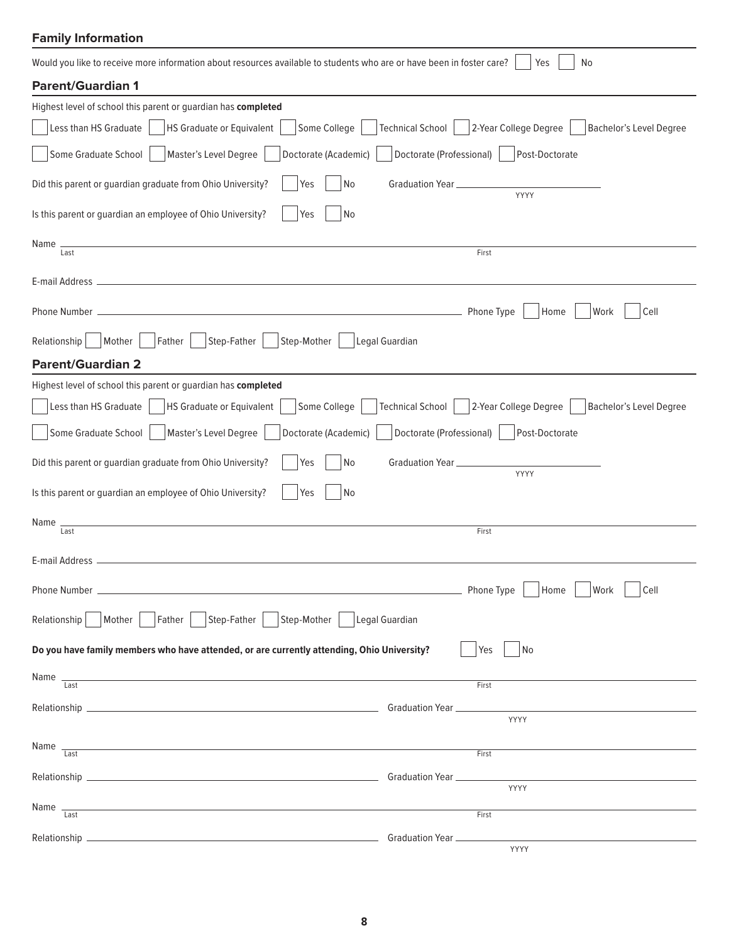### **Family Information**

| Would you like to receive more information about resources available to students who are or have been in foster care?<br>No<br>Yes |                                                                        |  |
|------------------------------------------------------------------------------------------------------------------------------------|------------------------------------------------------------------------|--|
| <b>Parent/Guardian 1</b>                                                                                                           |                                                                        |  |
| Highest level of school this parent or guardian has completed                                                                      |                                                                        |  |
| Less than HS Graduate<br>HS Graduate or Equivalent<br>Some College                                                                 | Technical School   2-Year College Degree  <br>Bachelor's Level Degree  |  |
| Some Graduate School<br>Master's Level Degree<br>Doctorate (Academic)                                                              | Doctorate (Professional)<br>Post-Doctorate                             |  |
| Did this parent or guardian graduate from Ohio University?<br>Yes<br>No                                                            | Graduation Year<br><b>YYYY</b>                                         |  |
| Is this parent or guardian an employee of Ohio University?<br>Yes<br>No                                                            |                                                                        |  |
| Name<br>Last                                                                                                                       | First                                                                  |  |
|                                                                                                                                    |                                                                        |  |
|                                                                                                                                    |                                                                        |  |
|                                                                                                                                    | Home<br>Work<br>Cell                                                   |  |
| Mother<br>Father<br>Step-Father<br>Step-Mother<br>Relationship                                                                     | Legal Guardian                                                         |  |
| <b>Parent/Guardian 2</b>                                                                                                           |                                                                        |  |
| Highest level of school this parent or guardian has completed                                                                      |                                                                        |  |
| Less than HS Graduate<br>HS Graduate or Equivalent<br>Some College                                                                 | 2-Year College Degree<br>Technical School  <br>Bachelor's Level Degree |  |
| Some Graduate School<br>Master's Level Degree<br>Doctorate (Academic)                                                              | Doctorate (Professional)<br>Post-Doctorate                             |  |
| Did this parent or guardian graduate from Ohio University?<br>Yes<br>No                                                            | Graduation Year __<br>YYYY                                             |  |
| Is this parent or guardian an employee of Ohio University?<br>No<br>Yes                                                            |                                                                        |  |
| Name                                                                                                                               |                                                                        |  |
| Last                                                                                                                               | First                                                                  |  |
| E-mail Address -                                                                                                                   |                                                                        |  |
|                                                                                                                                    | Home<br>Work<br>Cell                                                   |  |
| Mother   Father   Step-Father   Step-Mother   Legal Guardian<br>Relationship                                                       |                                                                        |  |
| Do you have family members who have attended, or are currently attending, Ohio University?                                         | Yes<br>l No                                                            |  |
| Name $\frac{1}{\text{Last}}$<br><u> 1989 - Johann Stoff, amerikansk politiker (d. 1989)</u>                                        | First                                                                  |  |
|                                                                                                                                    | YYYY                                                                   |  |
|                                                                                                                                    |                                                                        |  |
| <u> 1989 - Johann Stoff, amerikansk politiker (d. 1989)</u><br>Name $\frac{1}{\text{Last}}$                                        | First                                                                  |  |
|                                                                                                                                    |                                                                        |  |
| Name $\frac{1}{\text{Last}}$                                                                                                       | YYYY                                                                   |  |
|                                                                                                                                    | First                                                                  |  |
|                                                                                                                                    | YYYY                                                                   |  |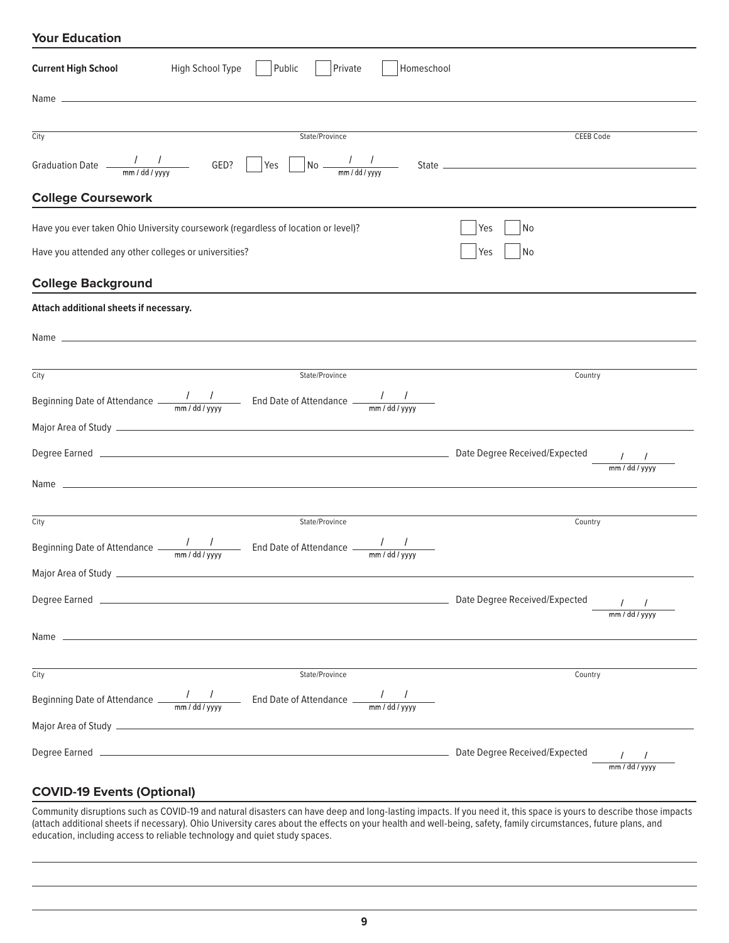| <b>Your Education</b>                                                                                                                                    |                           |
|----------------------------------------------------------------------------------------------------------------------------------------------------------|---------------------------|
| Public<br><b>Current High School</b><br>High School Type<br>Private<br>Homeschool                                                                        |                           |
|                                                                                                                                                          |                           |
| City<br>State/Province                                                                                                                                   | <b>CEEB Code</b>          |
| Graduation Date $\frac{1}{2}$ $\frac{1}{2}$ GED? Yes $\frac{1}{2}$ No $\frac{1}{2}$ $\frac{1}{2}$                                                        |                           |
| <b>College Coursework</b>                                                                                                                                |                           |
| Have you ever taken Ohio University coursework (regardless of location or level)?<br>Have you attended any other colleges or universities?               | No<br>Yes<br>No<br>Yes    |
| <b>College Background</b>                                                                                                                                |                           |
| Attach additional sheets if necessary.                                                                                                                   |                           |
|                                                                                                                                                          |                           |
| City<br>State/Province                                                                                                                                   | Country                   |
| Beginning Date of Attendance $\frac{1}{2}$ $\frac{1}{2}$ End Date of Attendance $\frac{1}{2}$ $\frac{1}{2}$                                              |                           |
|                                                                                                                                                          |                           |
|                                                                                                                                                          | $mm$ / dd / yyyy          |
|                                                                                                                                                          |                           |
| City<br>State/Province                                                                                                                                   | Country                   |
| Beginning Date of Attendance $\frac{1}{2\pi} \frac{1}{\text{mm}/\text{dd}/\text{yyy}}$ End Date of Attendance $\frac{1}{\text{mm}/\text{dd}/\text{yyy}}$ |                           |
|                                                                                                                                                          |                           |
|                                                                                                                                                          | $1 - 1$<br>mm / dd / yyyy |
|                                                                                                                                                          |                           |
| State/Province<br>City                                                                                                                                   | Country                   |
|                                                                                                                                                          |                           |
|                                                                                                                                                          |                           |
|                                                                                                                                                          | $mm$ / dd / yyyy          |

### **COVID-19 Events (Optional)**

Community disruptions such as COVID-19 and natural disasters can have deep and long-lasting impacts. If you need it, this space is yours to describe those impacts (attach additional sheets if necessary). Ohio University cares about the effects on your health and well-being, safety, family circumstances, future plans, and education, including access to reliable technology and quiet study spaces.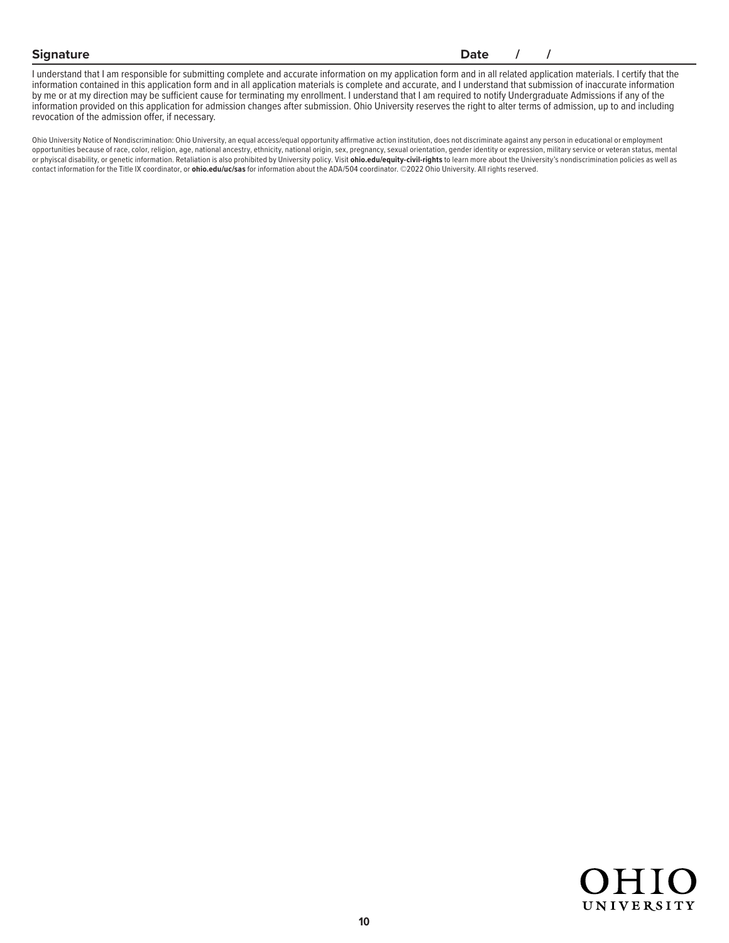### **Signature Date** / /

I understand that I am responsible for submitting complete and accurate information on my application form and in all related application materials. I certify that the information contained in this application form and in all application materials is complete and accurate, and I understand that submission of inaccurate information by me or at my direction may be sufficient cause for terminating my enrollment. I understand that I am required to notify Undergraduate Admissions if any of the information provided on this application for admission changes after submission. Ohio University reserves the right to alter terms of admission, up to and including revocation of the admission offer, if necessary.

Ohio University Notice of Nondiscrimination: Ohio University, an equal access/equal opportunity affirmative action institution, does not discriminate against any person in educational or employment opportunities because of race, color, religion, age, national ancestry, ethnicity, national origin, sex, pregnancy, sexual orientation, gender identity or expression, military service or veteran status, mental or phyiscal disability, or genetic information. Retaliation is also prohibited by University policy. Visit **ohio.edu/equity-civil-rights** to learn more about the University's nondiscrimination policies as well as contact information for the Title IX coordinator, or **ohio.edu/uc/sas** for information about the ADA/504 coordinator. ©2022 Ohio University. All rights reserved.

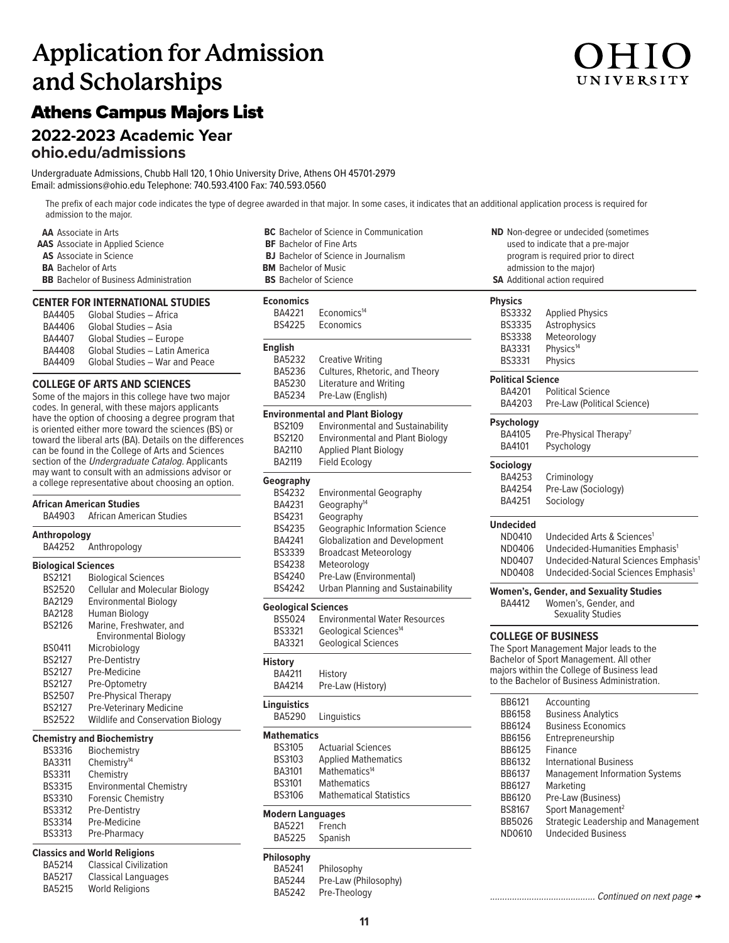# **Application for Admission and Scholarships**

# Athens Campus Majors List

# **2022-2023 Academic Year**

**ohio.edu/admissions**

Undergraduate Admissions, Chubb Hall 120, 1 Ohio University Drive, Athens OH 45701-2979 Email: admissions@ohio.edu Telephone: 740.593.4100 Fax: 740.593.0560

The prefix of each major code indicates the type of degree awarded in that major. In some cases, it indicates that an additional application process is required for admission to the major.

**AA** Associate in Arts **AAS** Associate in Applied Science **AS** Associate in Science **BA** Bachelor of Arts **BB** Bachelor of Business Administration

### **CENTER FOR INTERNATIONAL STUDIES**

| BA4405        | Global Studies - Africa        |
|---------------|--------------------------------|
| BA4406        | Global Studies - Asia          |
| <b>BA4407</b> | Global Studies - Europe        |
| <b>BA4408</b> | Global Studies - Latin America |
| BA4409        | Global Studies - War and Peace |

### **COLLEGE OF ARTS AND SCIENCES**

Some of the majors in this college have two major codes. In general, with these majors applicants have the option of choosing a degree program that is oriented either more toward the sciences (BS) or toward the liberal arts (BA). Details on the differences can be found in the College of Arts and Sciences section of the Undergraduate Catalog. Applicants may want to consult with an admissions advisor or a college representative about choosing an option.

### **African American Studies African American Studies Anthropology** Anthropology **Biological Sciences** BS2121 Biological Sciences BS2520 Cellular and Molecular Biology<br>BA2129 Environmental Biology **Environmental Biology** BA2128 Human Biology BS2126 Marine, Freshwater, and Environmental Biology<br>BS0411 Microbiology Microbiology BS2127 Pre-Dentistry BS2127 Pre-Medicine BS2127 Pre-Optometry BS2507 Pre-Physical Therapy BS2127 Pre-Veterinary Medicine BS2522 Wildlife and Conservation Biology

### **Chemistry and Biochemistry**

| <b>Environmental Chemistry</b> |
|--------------------------------|
|                                |
|                                |
|                                |
|                                |
|                                |

### **Classics and World Religions**

| BA5214        | <b>Classical Civilization</b> |
|---------------|-------------------------------|
| <b>BA5217</b> | <b>Classical Languages</b>    |
| <b>BA5215</b> | <b>World Religions</b>        |

| <b>BS</b> Bachelor of Science                  |
|------------------------------------------------|
| <b>BM</b> Bachelor of Music                    |
| <b>BJ</b> Bachelor of Science in Journalism    |
| <b>BF</b> Bachelor of Fine Arts                |
| <b>BC</b> Bachelor of Science in Communication |
|                                                |

### **Economics** Economics<sup>14</sup>

| حاجة الم |           |
|----------|-----------|
| BS4225   | Economics |

| <b>English</b><br>BA5232<br>BA5236<br><b>BA5230</b><br>BA5234 | <b>Creative Writing</b><br>Cultures, Rhetoric, and Theory<br><b>Literature and Writing</b><br>Pre-Law (English) |  |
|---------------------------------------------------------------|-----------------------------------------------------------------------------------------------------------------|--|
|                                                               | <b>Environmental and Plant Biology</b>                                                                          |  |
| <b>BS2109</b>                                                 | <b>Environmental and Sustainability</b>                                                                         |  |
| <b>BS2120</b>                                                 | <b>Environmental and Plant Biology</b>                                                                          |  |
| BA2110                                                        | <b>Applied Plant Biology</b>                                                                                    |  |
| <b>BA2119</b>                                                 | Field Ecology                                                                                                   |  |
| Geography                                                     |                                                                                                                 |  |
| <b>BS4232</b>                                                 | <b>Environmental Geography</b>                                                                                  |  |
| BA4231                                                        | Geography <sup>14</sup>                                                                                         |  |
| BS4231                                                        | Geography                                                                                                       |  |
| BS4235                                                        | <b>Geographic Information Science</b>                                                                           |  |
| BA4241                                                        | <b>Globalization and Development</b>                                                                            |  |
| BS3339                                                        | <b>Broadcast Meteorology</b>                                                                                    |  |
| <b>BS4238</b>                                                 | Meteorology                                                                                                     |  |
| BS4240                                                        | Pre-Law (Environmental)                                                                                         |  |
| BS4242                                                        | <b>Urban Planning and Sustainability</b>                                                                        |  |
|                                                               | <b>Geological Sciences</b>                                                                                      |  |
| BS5024                                                        | <b>Environmental Water Resources</b>                                                                            |  |
| BS3321                                                        | Geological Sciences <sup>14</sup>                                                                               |  |
| BA3321                                                        | <b>Geological Sciences</b>                                                                                      |  |
| <b>History</b>                                                |                                                                                                                 |  |
| BA4211                                                        | History                                                                                                         |  |
| BA4214                                                        | Pre-Law (History)                                                                                               |  |

| <b>Linguistics</b> |             |
|--------------------|-------------|
| <b>BA5290</b>      | Linguistics |

### **Mathematics**

| <b>BS3105</b> | <b>Actuarial Sciences</b>      |
|---------------|--------------------------------|
| <b>BS3103</b> | <b>Applied Mathematics</b>     |
| BA3101        | Mathematics <sup>14</sup>      |
| <b>BS3101</b> | <b>Mathematics</b>             |
| <b>BS3106</b> | <b>Mathematical Statistics</b> |
|               |                                |

### **Modern Languages**

BA5221 French<br>BA5225 Spanisl Spanish

### **Philosophy**

BA5241 Philosophy BA5244 Pre-Law (Philosophy)<br>BA5242 Pre-Theology Pre-Theology

**ND** Non-degree or undecided (sometimes used to indicate that a pre-major program is required prior to direct admission to the major) **SA** Additional action required

## **Physics**

| . ,               |                                                  |
|-------------------|--------------------------------------------------|
| <b>BS3332</b>     | <b>Applied Physics</b>                           |
| <b>BS3335</b>     | Astrophysics                                     |
| <b>BS3338</b>     | Meteorology                                      |
| BA3331            | Physics <sup>14</sup>                            |
| <b>BS3331</b>     | Physics                                          |
| Political Science |                                                  |
| BA4201            | <b>Political Science</b>                         |
| BA4203            | Pre-Law (Political Science)                      |
| Psychology        |                                                  |
| BA4105            | Pre-Physical Therapy <sup>7</sup>                |
| BA4101            | Psychology                                       |
| Sociology         |                                                  |
| BA4253            | Criminology                                      |
| BA4254            | Pre-Law (Sociology)                              |
| BA4251            | Sociology                                        |
| Undecided         |                                                  |
| ND0410            | Undecided Arts & Sciences <sup>1</sup>           |
| ND0406            | Undecided-Humanities Emphasis <sup>1</sup>       |
| ND0407            | Undecided-Natural Sciences Emphasis <sup>1</sup> |
| ND0408            | Undecided-Social Sciences Emphasis <sup>1</sup>  |
|                   | Women's, Gender, and Sexuality Studies           |
| BA4412            | Women's, Gender, and<br><b>Sexuality Studies</b> |

### **COLLEGE OF BUSINESS**

The Sport Management Major leads to the Bachelor of Sport Management. All other majors within the College of Business lead to the Bachelor of Business Administration.

| BB6121        | Accounting                            |
|---------------|---------------------------------------|
| <b>BB6158</b> | <b>Business Analytics</b>             |
| BB6124        | <b>Business Economics</b>             |
| BB6156        | Entrepreneurship                      |
| BB6125        | Finance                               |
| BB6132        | International Business                |
| BB6137        | <b>Management Information Systems</b> |
| BB6127        | Marketing                             |
| BB6120        | Pre-Law (Business)                    |
| BS8167        | Sport Management <sup>2</sup>         |
| <b>BB5026</b> | Strategic Leadership and Management   |
| ND0610        | <b>Undecided Business</b>             |
|               |                                       |

........................................... Continued on next page →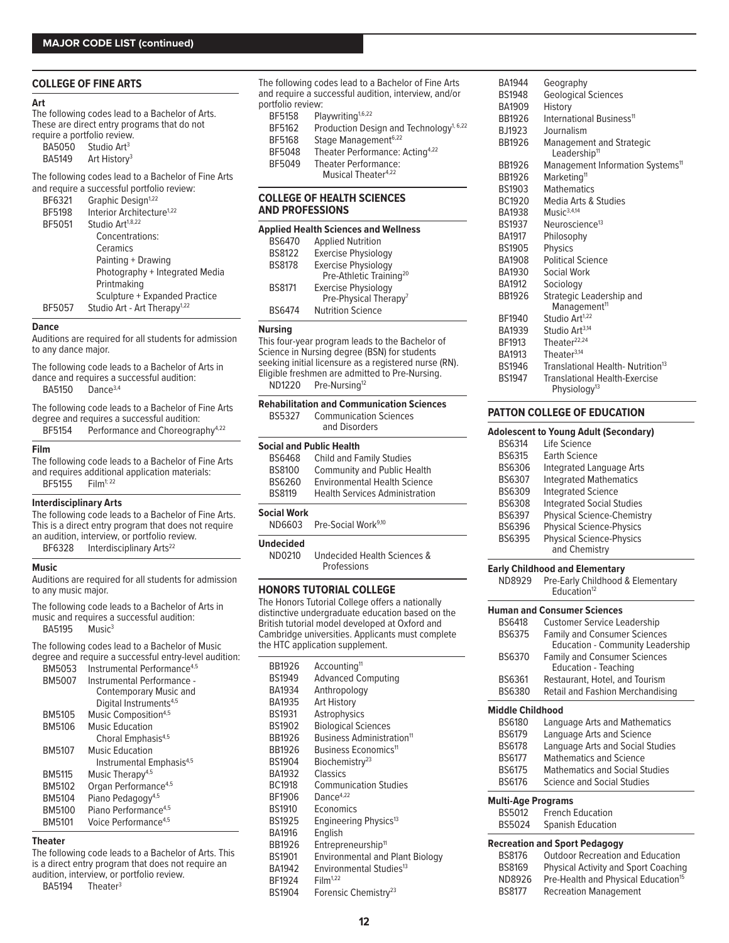### **COLLEGE OF FINE ARTS**

### **Art**

The following codes lead to a Bachelor of Arts. These are direct entry programs that do not require a portfolio review.

| <b>BA5050</b> | Studio Art <sup>3</sup>  |
|---------------|--------------------------|
| <b>BA5149</b> | Art History <sup>3</sup> |

The following codes lead to a Bachelor of Fine Arts and require a successful portfolio review

|               | and require a succession portions review. |
|---------------|-------------------------------------------|
| BF6321        | Graphic Design <sup>1,22</sup>            |
| BF5198        | Interior Architecture <sup>1,22</sup>     |
| BF5051        | Studio Art <sup>1,8,22</sup>              |
|               | Concentrations:                           |
|               | Ceramics                                  |
|               | Painting + Drawing                        |
|               | Photography + Integrated Media            |
|               | Printmaking                               |
|               | Sculpture + Expanded Practice             |
| <b>BF5057</b> | Studio Art - Art Therapy <sup>1,22</sup>  |
|               |                                           |

### **Dance**

Auditions are required for all students for admission to any dance major.

The following code leads to a Bachelor of Arts in dance and requires a successful audition: BA5150 Dance3,4

The following code leads to a Bachelor of Fine Arts degree and requires a successful audition: BF5154 Performance and Choreography<sup>4,22</sup>

### **Film**

The following code leads to a Bachelor of Fine Arts and requires additional application materials:<br>BF5155  $\qquad$  Film<sup>1:22</sup> **BF5155** 

### **Interdisciplinary Arts**

The following code leads to a Bachelor of Fine Arts. This is a direct entry program that does not require an audition, interview, or portfolio review.

BF6328 Interdisciplinary Arts<sup>22</sup>

### **Music**

Auditions are required for all students for admission to any music major.

The following code leads to a Bachelor of Arts in music and requires a successful audition: BA5195 Music<sup>3</sup>

The following codes lead to a Bachelor of Music degree and require a successful entry-level audition:

| BM5053        | Instrumental Performance <sup>4,5</sup> |
|---------------|-----------------------------------------|
| <b>BM5007</b> | Instrumental Performance -              |
|               | <b>Contemporary Music and</b>           |
|               | Digital Instruments <sup>4,5</sup>      |
| BM5105        | Music Composition <sup>4,5</sup>        |
| <b>BM5106</b> | Music Education                         |
|               | Choral Emphasis <sup>4,5</sup>          |
| <b>BM5107</b> | Music Education                         |
|               | Instrumental Emphasis <sup>4,5</sup>    |
| <b>BM5115</b> | Music Therapy <sup>4,5</sup>            |
| BM5102        | Organ Performance <sup>4,5</sup>        |
| BM5104        | Piano Pedagogy <sup>4,5</sup>           |
| BM5100        | Piano Performance <sup>4,5</sup>        |
| <b>BM5101</b> | Voice Performance <sup>4,5</sup>        |
|               |                                         |

### **Theater**

The following code leads to a Bachelor of Arts. This is a direct entry program that does not require an audition, interview, or portfolio review.

BA5194 Theater<sup>3</sup>

The following codes lead to a Bachelor of Fine Arts and require a successful audition, interview, and/or portfolio review:<br>BF5158 Pla Playwriting<sup>1,6,22</sup> BF5162 Production Design and Technology<sup>1, 6,22</sup> BF5168 Stage Management<sup>6,22</sup><br>BF5048 Theater Performance: Theater Performance: Acting<sup>4,22</sup> BF5049 Theater Performance: Musical Theater<sup>4,22</sup>

### **COLLEGE OF HEALTH SCIENCES AND PROFESSIONS**

| <b>Applied Health Sciences and Wellness</b> |                                     |  |
|---------------------------------------------|-------------------------------------|--|
| <b>BS6470</b>                               | <b>Applied Nutrition</b>            |  |
| <b>BS8122</b>                               | <b>Exercise Physiology</b>          |  |
| <b>BS8178</b>                               | <b>Exercise Physiology</b>          |  |
|                                             | Pre-Athletic Training <sup>20</sup> |  |
| <b>BS8171</b>                               | <b>Exercise Physiology</b>          |  |
|                                             | Pre-Physical Therapy <sup>7</sup>   |  |
| <b>RS6474</b>                               | <b>Nutrition Science</b>            |  |

### **Nursing**

This four-year program leads to the Bachelor of Science in Nursing degree (BSN) for students seeking initial licensure as a registered nurse (RN). Eligible freshmen are admitted to Pre-Nursing. ND1220 Pre-Nursing<sup>12</sup>

| BS5327                          | <b>Rehabilitation and Communication Sciences</b><br><b>Communication Sciences</b><br>and Disorders |  |
|---------------------------------|----------------------------------------------------------------------------------------------------|--|
| <b>Social and Public Health</b> |                                                                                                    |  |
| <b>BS6468</b>                   | Child and Family Studies                                                                           |  |
| <b>BS8100</b>                   | <b>Community and Public Health</b>                                                                 |  |
| BS6260                          | <b>Environmental Health Science</b>                                                                |  |
| <b>BS8119</b>                   | <b>Health Services Administration</b>                                                              |  |
| <b>Social Work</b>              |                                                                                                    |  |
| ND6603                          | Pre-Social Work <sup>9,10</sup>                                                                    |  |
| .                               |                                                                                                    |  |

**Undecided** ND0210 Undecided Health Sciences & Professions

**HONORS TUTORIAL COLLEGE**

The Honors Tutorial College offers a nationally distinctive undergraduate education based on the British tutorial model developed at Oxford and Cambridge universities. Applicants must complete the HTC application supplement.

| BB1926        | Accounting <sup>11</sup>               |
|---------------|----------------------------------------|
| BS1949        | <b>Advanced Computing</b>              |
| BA1934        | Anthropology                           |
| BA1935        | Art History                            |
| BS1931        | Astrophysics                           |
| BS1902        | <b>Biological Sciences</b>             |
| BB1926        | Business Administration <sup>11</sup>  |
| BB1926        | Business Economics <sup>11</sup>       |
| BS1904        | Biochemistry <sup>23</sup>             |
| BA1932        | Classics                               |
| BC1918        | <b>Communication Studies</b>           |
| BF1906        | Dance $4,22$                           |
| <b>BS1910</b> | Economics                              |
| BS1925        | Engineering Physics <sup>13</sup>      |
| <b>BA1916</b> | English                                |
| BB1926        | Entrepreneurship <sup>11</sup>         |
| BS1901        | <b>Environmental and Plant Biology</b> |
| BA1942        | Environmental Studies <sup>13</sup>    |
| BF1924        | Film <sup>1,22</sup>                   |
| BS1904        | Forensic Chemistry <sup>23</sup>       |
|               |                                        |

| BA1944<br>BS1948 | Geography<br><b>Geological Sciences</b>                     |
|------------------|-------------------------------------------------------------|
| BA1909           |                                                             |
| BB1926           | History<br>International Business <sup>11</sup>             |
|                  | Journalism                                                  |
| BJ1923           |                                                             |
| BB1926           | <b>Management and Strategic</b><br>Leadership <sup>11</sup> |
| BB1926           | Management Information Systems <sup>11</sup>                |
| <b>BB1926</b>    | Marketing <sup>11</sup>                                     |
| BS1903           | <b>Mathematics</b>                                          |
| BC1920           | Media Arts & Studies                                        |
| BA1938           | $M$ usic $3,4,14$                                           |
| BS1937           | Neuroscience <sup>13</sup>                                  |
| <b>BA1917</b>    | Philosophy                                                  |
| BS1905           | <b>Physics</b>                                              |
| BA1908           | <b>Political Science</b>                                    |
| BA1930           | Social Work                                                 |
| <b>BA1912</b>    | Sociology                                                   |
| BB1926           | Strategic Leadership and                                    |
|                  | Management <sup>11</sup>                                    |
| BF1940           | Studio Art <sup>1,22</sup>                                  |
| BA1939           | Studio Art <sup>3,14</sup>                                  |
| BF1913           | Theater $22,24$                                             |
| BA1913           | Theater $3,14$                                              |
| <b>BS1946</b>    | Translational Health-Nutrition <sup>13</sup>                |
| <b>BS1947</b>    | Translational Health-Exercise                               |
|                  | Physiology <sup>13</sup>                                    |
|                  |                                                             |

### **PATTON COLLEGE OF EDUCATION**

### **Adolescent to Young Adult (Secondary)**

|               | <b>Huvicscom to Tourig Huuit (Sccomuary)</b>     |
|---------------|--------------------------------------------------|
| <b>BS6314</b> | l ife Science                                    |
| <b>BS6315</b> | Earth Science                                    |
| BS6306        | <b>Integrated Language Arts</b>                  |
| BS6307        | <b>Integrated Mathematics</b>                    |
| BS6309        | <b>Integrated Science</b>                        |
| <b>BS6308</b> | <b>Integrated Social Studies</b>                 |
| <b>BS6397</b> | <b>Physical Science-Chemistry</b>                |
| BS6396        | <b>Physical Science-Physics</b>                  |
| <b>BS6395</b> | <b>Physical Science-Physics</b><br>and Chemistry |
|               |                                                  |

### **Early Childhood and Elementary**

ND8929 Pre-Early Childhood & Elementary Education<sup>12</sup>

|                           | <b>Human and Consumer Sciences</b>                                             |
|---------------------------|--------------------------------------------------------------------------------|
| <b>BS6418</b>             | <b>Customer Service Leadership</b>                                             |
| BS6375                    | <b>Family and Consumer Sciences</b><br><b>Education - Community Leadership</b> |
| BS6370                    | <b>Family and Consumer Sciences</b><br><b>Education - Teaching</b>             |
| BS6361                    | Restaurant, Hotel, and Tourism                                                 |
| BS6380                    | Retail and Fashion Merchandising                                               |
| <b>Middle Childhood</b>   |                                                                                |
| BS6180                    | Language Arts and Mathematics                                                  |
| BS6179                    | Language Arts and Science                                                      |
| <b>BS6178</b>             | Language Arts and Social Studies                                               |
| <b>BS6177</b>             | Mathematics and Science                                                        |
| BS6175                    | <b>Mathematics and Social Studies</b>                                          |
| <b>BS6176</b>             | Science and Social Studies                                                     |
| <b>Multi-Age Programs</b> |                                                                                |
| BS5012                    | <b>French Education</b>                                                        |
| <b>BS5024</b>             | <b>Spanish Education</b>                                                       |
|                           | Recreation and Sport Pedagogy                                                  |

| BS8176        | <b>Outdoor Recreation and Education</b>         |
|---------------|-------------------------------------------------|
| <b>BS8169</b> | <b>Physical Activity and Sport Coaching</b>     |
| ND8926        | Pre-Health and Physical Education <sup>15</sup> |

BS8177 Recreation Management